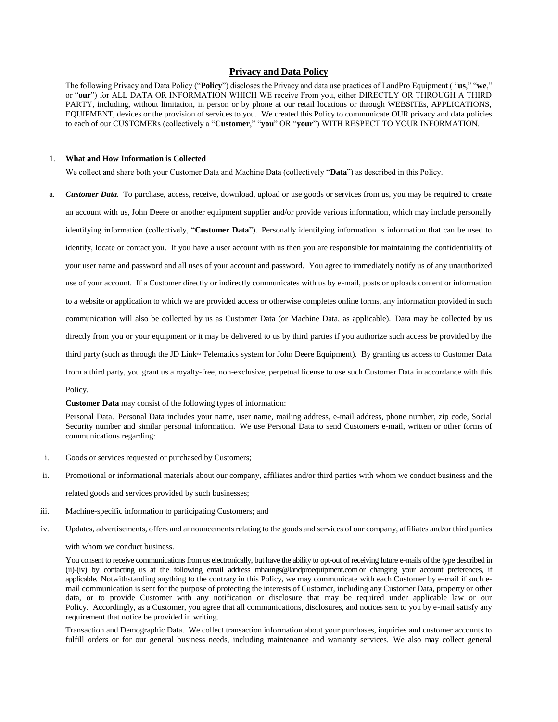# **Privacy and Data Policy**

The following Privacy and Data Policy ("**Policy**") discloses the Privacy and data use practices of LandPro Equipment ( "**us**," "**we**," or "**our**") for ALL DATA OR INFORMATION WHICH WE receive From you, either DIRECTLY OR THROUGH A THIRD PARTY, including, without limitation, in person or by phone at our retail locations or through WEBSITEs, APPLICATIONS, EQUIPMENT, devices or the provision of services to you. We created this Policy to communicate OUR privacy and data policies to each of our CUSTOMERs (collectively a "**Customer**," "**you**" OR "**your**") WITH RESPECT TO YOUR INFORMATION.

#### 1. **What and How Information is Collected**

We collect and share both your Customer Data and Machine Data (collectively "**Data**") as described in this Policy.

a. *Customer Data.* To purchase, access, receive, download, upload or use goods or services from us, you may be required to create an account with us, John Deere or another equipment supplier and/or provide various information, which may include personally identifying information (collectively, "**Customer Data**"). Personally identifying information is information that can be used to identify, locate or contact you. If you have a user account with us then you are responsible for maintaining the confidentiality of your user name and password and all uses of your account and password. You agree to immediately notify us of any unauthorized use of your account. If a Customer directly or indirectly communicates with us by e-mail, posts or uploads content or information to a website or application to which we are provided access or otherwise completes online forms, any information provided in such communication will also be collected by us as Customer Data (or Machine Data, as applicable). Data may be collected by us directly from you or your equipment or it may be delivered to us by third parties if you authorize such access be provided by the third party (such as through the JD Link<sup>T</sup> Telematics system for John Deere Equipment). By granting us access to Customer Data from a third party, you grant us a royalty-free, non-exclusive, perpetual license to use such Customer Data in accordance with this Policy.

**Customer Data** may consist of the following types of information:

Personal Data. Personal Data includes your name, user name, mailing address, e-mail address, phone number, zip code, Social Security number and similar personal information. We use Personal Data to send Customers e-mail, written or other forms of communications regarding:

- i. Goods or services requested or purchased by Customers;
- ii. Promotional or informational materials about our company, affiliates and/or third parties with whom we conduct business and the related goods and services provided by such businesses;
- iii. Machine-specific information to participating Customers; and
- iv. Updates, advertisements, offers and announcements relating to the goods and services of our company, affiliates and/or third parties

#### with whom we conduct business.

You consent to receive communications from us electronically, but have the ability to opt-out of receiving future e-mails of the type described in (ii)-(iv) by contacting us at the following email address mhaungs@landproequipment.comor changing your account preferences, if applicable. Notwithstanding anything to the contrary in this Policy, we may communicate with each Customer by e-mail if such email communication is sent for the purpose of protecting the interests of Customer, including any Customer Data, property or other data, or to provide Customer with any notification or disclosure that may be required under applicable law or our Policy. Accordingly, as a Customer, you agree that all communications, disclosures, and notices sent to you by e-mail satisfy any requirement that notice be provided in writing.

Transaction and Demographic Data. We collect transaction information about your purchases, inquiries and customer accounts to fulfill orders or for our general business needs, including maintenance and warranty services. We also may collect general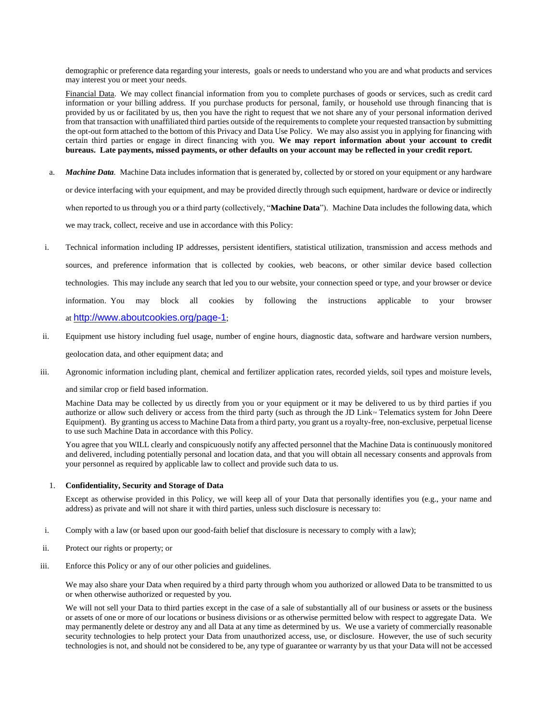demographic or preference data regarding your interests, goals or needs to understand who you are and what products and services may interest you or meet your needs.

Financial Data. We may collect financial information from you to complete purchases of goods or services, such as credit card information or your billing address. If you purchase products for personal, family, or household use through financing that is provided by us or facilitated by us, then you have the right to request that we not share any of your personal information derived from that transaction with unaffiliated third parties outside of the requirements to complete your requested transaction by submitting the opt-out form attached to the bottom of this Privacy and Data Use Policy. We may also assist you in applying for financing with certain third parties or engage in direct financing with you. **We may report information about your account to credit bureaus. Late payments, missed payments, or other defaults on your account may be reflected in your credit report.** 

- a. *Machine Data.* Machine Data includes information that is generated by, collected by or stored on your equipment or any hardware or device interfacing with your equipment, and may be provided directly through such equipment, hardware or device or indirectly when reported to us through you or a third party (collectively, "**Machine Data**"). Machine Data includes the following data, which we may track, collect, receive and use in accordance with this Policy:
- i. Technical information including IP addresses, persistent identifiers, statistical utilization, transmission and access methods and sources, and preference information that is collected by cookies, web beacons, or other similar device based collection technologies. This may include any search that led you to our website, your connection speed or type, and your browser or device information. You may block all cookies by following the instructions applicable to your browser at <http://www.aboutcookies.org/page-1>;
- ii. Equipment use history including fuel usage, number of engine hours, diagnostic data, software and hardware version numbers, geolocation data, and other equipment data; and
- iii. Agronomic information including plant, chemical and fertilizer application rates, recorded yields, soil types and moisture levels,

and similar crop or field based information.

Machine Data may be collected by us directly from you or your equipment or it may be delivered to us by third parties if you authorize or allow such delivery or access from the third party (such as through the JD Link $<sup>W</sup>$  Telematics system for John Deere</sup> Equipment). By granting us access to Machine Data from a third party, you grant us a royalty-free, non-exclusive, perpetual license to use such Machine Data in accordance with this Policy.

You agree that you WILL clearly and conspicuously notify any affected personnel that the Machine Data is continuously monitored and delivered, including potentially personal and location data, and that you will obtain all necessary consents and approvals from your personnel as required by applicable law to collect and provide such data to us.

# 1. **Confidentiality, Security and Storage of Data**

Except as otherwise provided in this Policy, we will keep all of your Data that personally identifies you (e.g., your name and address) as private and will not share it with third parties, unless such disclosure is necessary to:

- i. Comply with a law (or based upon our good-faith belief that disclosure is necessary to comply with a law);
- ii. Protect our rights or property; or
- iii. Enforce this Policy or any of our other policies and guidelines.

We may also share your Data when required by a third party through whom you authorized or allowed Data to be transmitted to us or when otherwise authorized or requested by you.

We will not sell your Data to third parties except in the case of a sale of substantially all of our business or assets or the business or assets of one or more of our locations or business divisions or as otherwise permitted below with respect to aggregate Data. We may permanently delete or destroy any and all Data at any time as determined by us. We use a variety of commercially reasonable security technologies to help protect your Data from unauthorized access, use, or disclosure. However, the use of such security technologies is not, and should not be considered to be, any type of guarantee or warranty by us that your Data will not be accessed